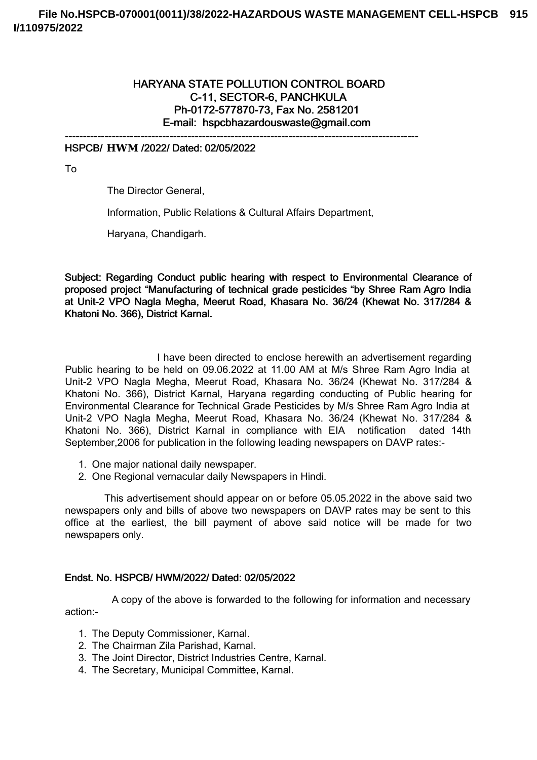# HARYANA STATE POLLUTION CONTROL BOARD C-11, SECTOR-6, PANCHKULA Ph-0172-577870-73, Fax No. 2581201 E-mail: hspcbhazardouswaste@gmail.com

-------------------------------------------------------------------------------------------------- HSPCB/ **HWM** /2022/ Dated: 02/05/2022

To

The Director General,

Information, Public Relations & Cultural Affairs Department,

Haryana, Chandigarh.

Subject: Regarding Conduct public hearing with respect to Environmental Clearance of proposed project "Manufacturing of technical grade pesticides "by Shree Ram Agro India at Unit-2 VPO Nagla Megha, Meerut Road, Khasara No. 36/24 (Khewat No. 317/284 & Khatoni No. 366), District Karnal.

I have been directed to enclose herewith an advertisement regarding Public hearing to be held on 09.06.2022 at 11.00 AM at M/s Shree Ram Agro India at Unit-2 VPO Nagla Megha, Meerut Road, Khasara No. 36/24 (Khewat No. 317/284 & Khatoni No. 366), District Karnal, Haryana regarding conducting of Public hearing for Environmental Clearance for Technical Grade Pesticides by M/s Shree Ram Agro India at Unit-2 VPO Nagla Megha, Meerut Road, Khasara No. 36/24 (Khewat No. 317/284 & Khatoni No. 366), District Karnal in compliance with EIA notification dated 14th September,2006 for publication in the following leading newspapers on DAVP rates:-

- 1. One major national daily newspaper.
- 2. One Regional vernacular daily Newspapers in Hindi.

This advertisement should appear on or before 05.05.2022 in the above said two newspapers only and bills of above two newspapers on DAVP rates may be sent to this office at the earliest, the bill payment of above said notice will be made for two newspapers only.

#### Endst. No. HSPCB/ HWM/2022/ Dated: 02/05/2022

A copy of the above is forwarded to the following for information and necessary action:-

- 1. The Deputy Commissioner, Karnal.
- 2. The Chairman Zila Parishad, Karnal.
- 3. The Joint Director, District Industries Centre, Karnal.
- 4. The Secretary, Municipal Committee, Karnal.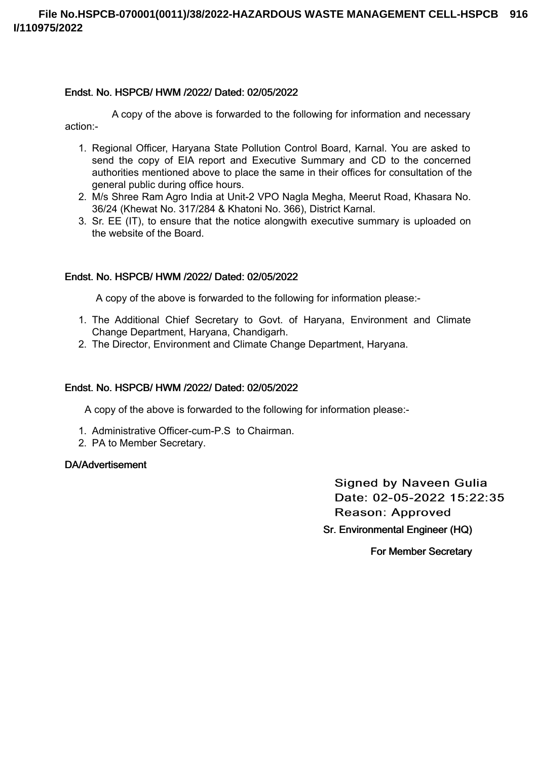### Endst. No. HSPCB/ HWM /2022/ Dated: 02/05/2022

A copy of the above is forwarded to the following for information and necessary action:-

- 1. Regional Officer, Haryana State Pollution Control Board, Karnal. You are asked to send the copy of EIA report and Executive Summary and CD to the concerned authorities mentioned above to place the same in their offices for consultation of the general public during office hours.
- 2. M/s Shree Ram Agro India at Unit-2 VPO Nagla Megha, Meerut Road, Khasara No. 36/24 (Khewat No. 317/284 & Khatoni No. 366), District Karnal.
- 3. Sr. EE (IT), to ensure that the notice alongwith executive summary is uploaded on the website of the Board.

## Endst. No. HSPCB/ HWM /2022/ Dated: 02/05/2022

A copy of the above is forwarded to the following for information please:-

- 1. The Additional Chief Secretary to Govt. of Haryana, Environment and Climate Change Department, Haryana, Chandigarh.
- 2. The Director, Environment and Climate Change Department, Haryana.

#### Endst. No. HSPCB/ HWM /2022/ Dated: 02/05/2022

A copy of the above is forwarded to the following for information please:-

- 1. Administrative Officer-cum-P.S to Chairman.
- 2. PA to Member Secretary.

#### DA/Advertisement

**Signed by Naveen Gulia** Date: 02-05-2022 15:22:35 Reason: Approved Sr. Environmental Engineer (HQ)

For Member Secretary